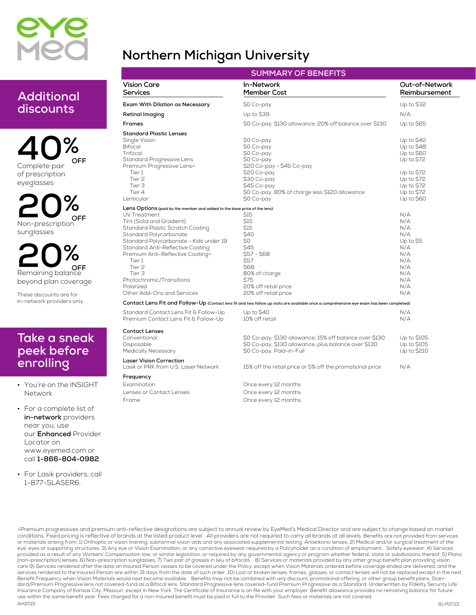

### **Northern Michigan University**

| Additional |  |
|------------|--|
| discounts  |  |

**40% Complete pair of prescription eyeglasses OFF**

**20% Non-prescription sunglasses OFF**

**20% Remaining balance beyond plan coverage OFF**

**These discounts are for in-network providers only**

#### **Take a sneak peek before enrolling**

**• You're on the INSIGHT Network**

**• For a complete list of in-network providers near you, use our Enhanced Provider Locator on www.eyemed.com or call 1-866-804-0982.**

**• For Lasik providers, call 1-877-5LASER6.**

| <b>SUMMARY OF BENEFITS</b>                                                                                                                                                                                                                                                                                                                                                                                              |                                                                                                                                                                                                |                                                                                                                            |  |  |
|-------------------------------------------------------------------------------------------------------------------------------------------------------------------------------------------------------------------------------------------------------------------------------------------------------------------------------------------------------------------------------------------------------------------------|------------------------------------------------------------------------------------------------------------------------------------------------------------------------------------------------|----------------------------------------------------------------------------------------------------------------------------|--|--|
| <b>Vision Care</b><br>Services                                                                                                                                                                                                                                                                                                                                                                                          | In-Network<br><b>Member Cost</b>                                                                                                                                                               | Out-of-Network<br>Reimbursement                                                                                            |  |  |
| Exam With Dilation as Necessary                                                                                                                                                                                                                                                                                                                                                                                         | \$0 Co-pay                                                                                                                                                                                     | Up to \$32                                                                                                                 |  |  |
| Retinal Imaging                                                                                                                                                                                                                                                                                                                                                                                                         | Up to \$39                                                                                                                                                                                     | N/A                                                                                                                        |  |  |
| Frames                                                                                                                                                                                                                                                                                                                                                                                                                  | \$0 Co-pay; \$130 allowance; 20% off balance over \$130                                                                                                                                        | Up to \$65                                                                                                                 |  |  |
| <b>Standard Plastic Lenses</b><br>Single Vision<br><b>Bifocal</b><br>Trifocal<br>Standard Progressive Lens<br>Premium Progressive Lens∆<br>Tier 1<br>Tier <sub>2</sub><br>Tier 3<br>Tier 4<br>Lenticular                                                                                                                                                                                                                | \$0 Co-pay<br>\$0 Co-pay<br>\$0 Co-pay<br>\$0 Co-pay<br>\$20 Co-pay - \$45 Co-pay<br>\$20 Co-pay<br>\$30 Co-pay<br>\$45 Co-pay<br>\$0 Co-pay, 80% of charge less \$120 allowance<br>\$0 Co-pay | Up to \$42<br>Up to \$48<br>Up to \$60<br>Up to \$72<br>Up to \$72<br>Up to \$72<br>Up to \$72<br>Up to \$72<br>Up to \$60 |  |  |
| Lens Options (paid by the member and added to the base price of the lens)<br>UV Treatment<br>Tint (Solid and Gradient)<br>Standard Plastic Scratch Coating<br>Standard Polycarbonate<br>Standard Polycarbonate - Kids under 19<br>Standard Anti-Reflective Coating<br>Premium Anti-Reflective Coating <sup>4</sup><br>Tier 1<br>Tier 2<br>Tier 3<br>Photochromic/Transitions<br>Polarized<br>Other Add-Ons and Services | <b>S15</b><br>\$15<br>\$15<br>\$40<br>\$0<br>S45<br>\$57 - \$68<br>S57<br><b>\$68</b><br>80% of charge<br>\$75<br>20% off retail price<br>20% off retail price                                 | N/A<br>N/A<br>N/A<br>N/A<br>Up to \$5<br>N/A<br>N/A<br>N/A<br>N/A<br>N/A<br>N/A<br>N/A<br>N/A                              |  |  |
| Contact Lens Fit and Follow-Up (Contact lens fit and two follow up visits are available once a comprehensive eye exam has been completed)                                                                                                                                                                                                                                                                               |                                                                                                                                                                                                |                                                                                                                            |  |  |
| Standard Contact Lens Fit & Follow-Up<br>Premium Contact Lens Fit & Follow-Up                                                                                                                                                                                                                                                                                                                                           | Up to \$40<br>10% off retail                                                                                                                                                                   | N/A<br>N/A                                                                                                                 |  |  |
| <b>Contact Lenses</b><br>Conventional<br>Disposable<br><b>Medically Necessary</b><br><b>Laser Vision Correction</b><br>Lasik or PRK from U.S. Laser Network                                                                                                                                                                                                                                                             | \$0 Co-pay; \$130 allowance; 15% off balance over \$130<br>\$0 Co-pay; \$130 allowance; plus balance over \$130<br>\$0 Co-pay, Paid-in-Full                                                    | Up to \$105<br>Up to \$105<br>Up to \$210<br>N/A                                                                           |  |  |
| Frequency                                                                                                                                                                                                                                                                                                                                                                                                               | 15% off the retail price or 5% off the promotional price                                                                                                                                       |                                                                                                                            |  |  |
| Examination<br>Lenses or Contact Lenses<br>Frame                                                                                                                                                                                                                                                                                                                                                                        | Once every 12 months<br>Once every 12 months<br>Once every 12 months                                                                                                                           |                                                                                                                            |  |  |

conditions. Fixed pricing is reflective of brands at the listed product level . All providers are not required to carry all brands at all levels. Benefits are not provided from services or materials arising from: 1) Orthoptic or vision training, subnormal vision aids and any associated supplemental testing; Aniseikonic lenses; 2) Medical and/or surgical treatment of the **AH2015** APremium progressives and premium anti-reflective designations are subject to annual review by EyeMed's Medical Director and are subject to change based on market eye, eyes or supporting structures; 3) Any eye or Vision Examination, or any corrective eyewear required by a Policyholder as a condition of employment; Safety eyewear; 4) Services provided as a result of any Workers' Compensation law, or similar legislation, or required by any governmental agency or program whether federal, state or subdivisions thereof; 5) Plano<br>(non-prescription) lenses; 6) Non-pr care 9) Services rendered after the date an Insured Person ceases to be covered under the Policy, except when Vision Materials ordered before coverage ended are delivered, and the services rendered to the Insured Person are within 31 days from the date of such order. 10) Lost or broken lenses, frames, glasses, or contact lenses will not be replaced except in the next Benefit Frequency when Vision Materials would next become available. Benefits may not be combined with any discount, promotional offering, or other group benefit plans. Standard/Premium Progressive lens not covered-fund as a Bifocal lens. Standard Progressive lens covered-fund Premium Progressive as a Standard. Underwritten by Fidelity Security Life Insurance Company of Kansas City, Missouri, except in New York. The Certificate of Insurance is on file with your employer. Benefit allowance provides no remaining balance for future use within the same benefit year. Fees charged for a non-insured benefit must be paid in full to the Provider. Such fees or materials are not covered.